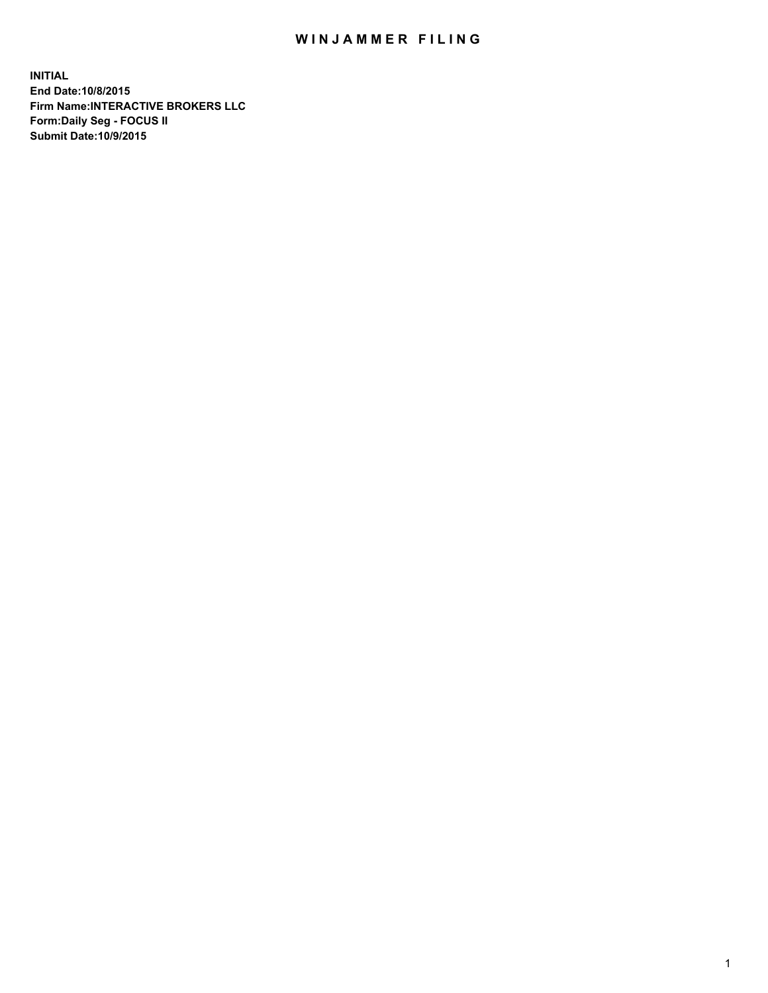## WIN JAMMER FILING

**INITIAL End Date:10/8/2015 Firm Name:INTERACTIVE BROKERS LLC Form:Daily Seg - FOCUS II Submit Date:10/9/2015**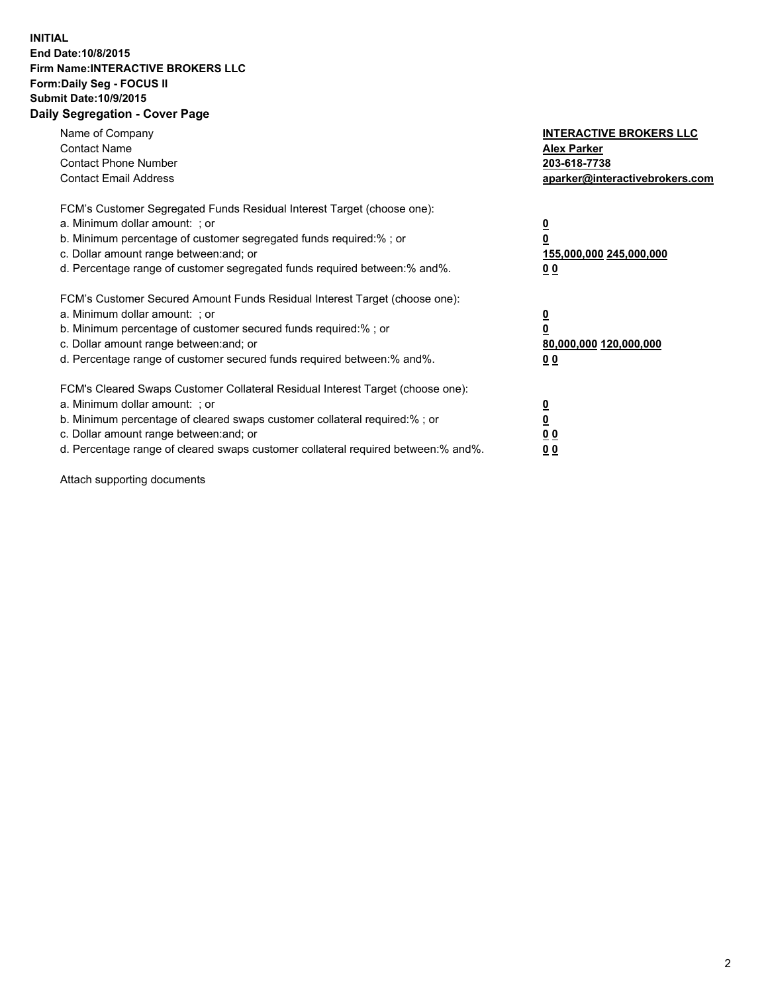## **INITIAL End Date:10/8/2015 Firm Name:INTERACTIVE BROKERS LLC Form:Daily Seg - FOCUS II Submit Date:10/9/2015 Daily Segregation - Cover Page**

| Name of Company<br><b>Contact Name</b><br><b>Contact Phone Number</b><br><b>Contact Email Address</b>                                                                                                                                                                                                                         | <b>INTERACTIVE BROKERS LLC</b><br><b>Alex Parker</b><br>203-618-7738<br>aparker@interactivebrokers.com |
|-------------------------------------------------------------------------------------------------------------------------------------------------------------------------------------------------------------------------------------------------------------------------------------------------------------------------------|--------------------------------------------------------------------------------------------------------|
| FCM's Customer Segregated Funds Residual Interest Target (choose one):<br>a. Minimum dollar amount: ; or<br>b. Minimum percentage of customer segregated funds required:% ; or<br>c. Dollar amount range between: and; or<br>d. Percentage range of customer segregated funds required between:% and%.                        | <u>0</u><br>155,000,000 245,000,000<br>0 <sub>0</sub>                                                  |
| FCM's Customer Secured Amount Funds Residual Interest Target (choose one):<br>a. Minimum dollar amount: ; or<br>b. Minimum percentage of customer secured funds required:%; or<br>c. Dollar amount range between: and; or<br>d. Percentage range of customer secured funds required between: % and %.                         | <u>0</u><br>80,000,000 120,000,000<br><u>00</u>                                                        |
| FCM's Cleared Swaps Customer Collateral Residual Interest Target (choose one):<br>a. Minimum dollar amount: ; or<br>b. Minimum percentage of cleared swaps customer collateral required:%; or<br>c. Dollar amount range between: and; or<br>d. Percentage range of cleared swaps customer collateral required between:% and%. | <u>0</u><br>0 <sub>0</sub><br>0 <sub>0</sub>                                                           |

Attach supporting documents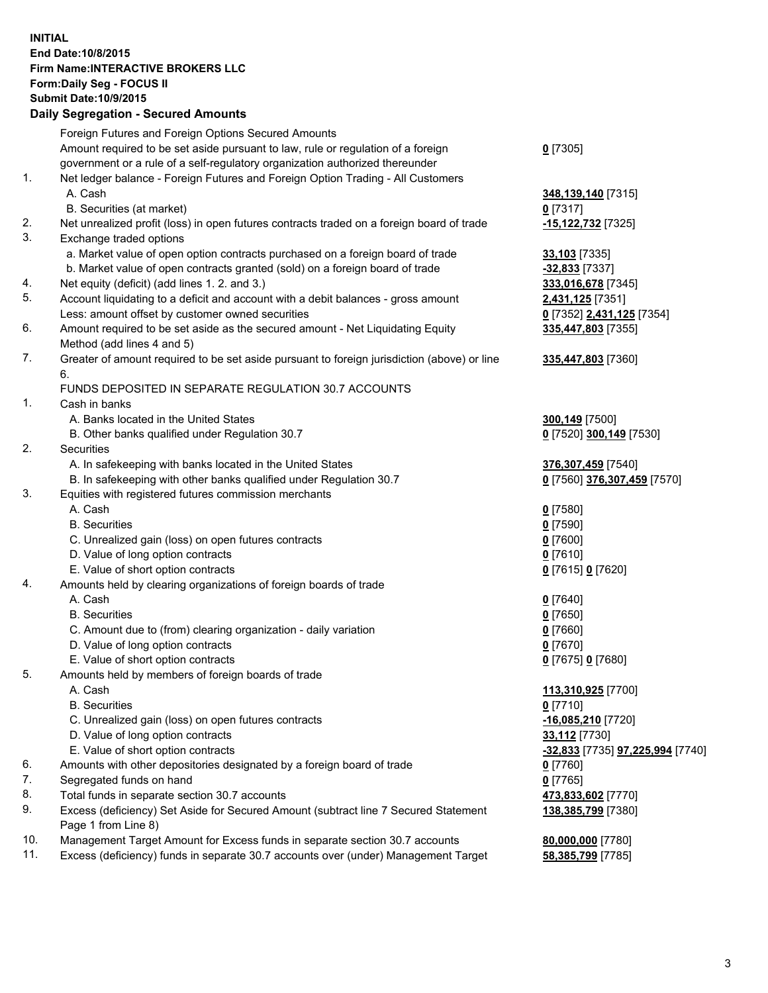## **INITIAL End Date:10/8/2015 Firm Name:INTERACTIVE BROKERS LLC Form:Daily Seg - FOCUS II Submit Date:10/9/2015 Daily Segregation - Secured Amounts**

|            | Dany Oogrogaach - Ocearea Amounta                                                                                                                                                        |                                        |
|------------|------------------------------------------------------------------------------------------------------------------------------------------------------------------------------------------|----------------------------------------|
|            | Foreign Futures and Foreign Options Secured Amounts                                                                                                                                      |                                        |
|            | Amount required to be set aside pursuant to law, rule or regulation of a foreign                                                                                                         | $0$ [7305]                             |
|            | government or a rule of a self-regulatory organization authorized thereunder                                                                                                             |                                        |
| 1.         | Net ledger balance - Foreign Futures and Foreign Option Trading - All Customers                                                                                                          |                                        |
|            | A. Cash                                                                                                                                                                                  | 348,139,140 [7315]                     |
|            | B. Securities (at market)                                                                                                                                                                | $0$ [7317]                             |
| 2.         | Net unrealized profit (loss) in open futures contracts traded on a foreign board of trade                                                                                                | -15,122,732 [7325]                     |
| 3.         | Exchange traded options                                                                                                                                                                  |                                        |
|            | a. Market value of open option contracts purchased on a foreign board of trade                                                                                                           | 33,103 [7335]                          |
|            | b. Market value of open contracts granted (sold) on a foreign board of trade                                                                                                             | $-32,833$ [7337]                       |
| 4.         | Net equity (deficit) (add lines 1.2. and 3.)                                                                                                                                             | 333,016,678 [7345]                     |
| 5.         | Account liquidating to a deficit and account with a debit balances - gross amount                                                                                                        | 2,431,125 [7351]                       |
|            | Less: amount offset by customer owned securities                                                                                                                                         | 0 [7352] 2,431,125 [7354]              |
| 6.         | Amount required to be set aside as the secured amount - Net Liquidating Equity                                                                                                           | 335,447,803 [7355]                     |
|            | Method (add lines 4 and 5)                                                                                                                                                               |                                        |
| 7.         | Greater of amount required to be set aside pursuant to foreign jurisdiction (above) or line                                                                                              | 335,447,803 [7360]                     |
|            | 6.                                                                                                                                                                                       |                                        |
|            | FUNDS DEPOSITED IN SEPARATE REGULATION 30.7 ACCOUNTS                                                                                                                                     |                                        |
| 1.         | Cash in banks                                                                                                                                                                            |                                        |
|            | A. Banks located in the United States                                                                                                                                                    | 300,149 [7500]                         |
|            | B. Other banks qualified under Regulation 30.7                                                                                                                                           | 0 [7520] 300,149 [7530]                |
| 2.         | Securities                                                                                                                                                                               |                                        |
|            | A. In safekeeping with banks located in the United States                                                                                                                                | 376,307,459 [7540]                     |
|            | B. In safekeeping with other banks qualified under Regulation 30.7                                                                                                                       | 0 [7560] 376,307,459 [7570]            |
| 3.         | Equities with registered futures commission merchants                                                                                                                                    |                                        |
|            | A. Cash                                                                                                                                                                                  | $0$ [7580]                             |
|            | <b>B.</b> Securities                                                                                                                                                                     | $0$ [7590]                             |
|            | C. Unrealized gain (loss) on open futures contracts                                                                                                                                      | $0$ [7600]                             |
|            | D. Value of long option contracts                                                                                                                                                        | $0$ [7610]                             |
|            | E. Value of short option contracts                                                                                                                                                       | 0 [7615] 0 [7620]                      |
| 4.         | Amounts held by clearing organizations of foreign boards of trade                                                                                                                        |                                        |
|            | A. Cash                                                                                                                                                                                  | $0$ [7640]                             |
|            | <b>B.</b> Securities                                                                                                                                                                     |                                        |
|            |                                                                                                                                                                                          | $0$ [7650]                             |
|            | C. Amount due to (from) clearing organization - daily variation<br>D. Value of long option contracts                                                                                     | $0$ [7660]                             |
|            | E. Value of short option contracts                                                                                                                                                       | $0$ [7670]                             |
| 5.         |                                                                                                                                                                                          | 0 [7675] 0 [7680]                      |
|            | Amounts held by members of foreign boards of trade                                                                                                                                       |                                        |
|            | A. Cash                                                                                                                                                                                  | 113,310,925 [7700]                     |
|            | <b>B.</b> Securities                                                                                                                                                                     | $0$ [7710]                             |
|            | C. Unrealized gain (loss) on open futures contracts                                                                                                                                      | $-16,085,210$ [7720]                   |
|            | D. Value of long option contracts                                                                                                                                                        | 33,112 [7730]                          |
|            | E. Value of short option contracts                                                                                                                                                       | -32,833 [7735] 97,225,994 [7740]       |
| 6.         | Amounts with other depositories designated by a foreign board of trade                                                                                                                   | $0$ [7760]                             |
| 7.         | Segregated funds on hand                                                                                                                                                                 | $0$ [7765]                             |
| 8.         | Total funds in separate section 30.7 accounts                                                                                                                                            | 473,833,602 [7770]                     |
| 9.         | Excess (deficiency) Set Aside for Secured Amount (subtract line 7 Secured Statement                                                                                                      | 138,385,799 [7380]                     |
|            |                                                                                                                                                                                          |                                        |
|            |                                                                                                                                                                                          |                                        |
|            |                                                                                                                                                                                          |                                        |
| 10.<br>11. | Page 1 from Line 8)<br>Management Target Amount for Excess funds in separate section 30.7 accounts<br>Excess (deficiency) funds in separate 30.7 accounts over (under) Management Target | 80,000,000 [7780]<br>58,385,799 [7785] |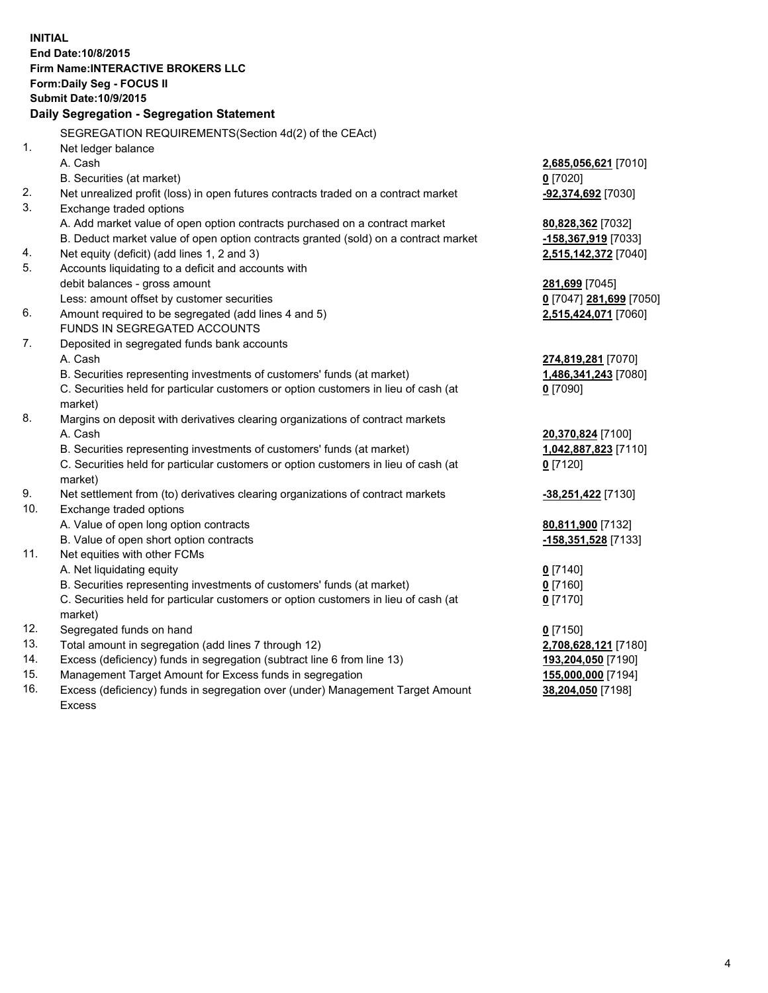**INITIAL End Date:10/8/2015 Firm Name:INTERACTIVE BROKERS LLC Form:Daily Seg - FOCUS II Submit Date:10/9/2015 Daily Segregation - Segregation Statement** SEGREGATION REQUIREMENTS(Section 4d(2) of the CEAct) 1. Net ledger balance A. Cash **2,685,056,621** [7010] B. Securities (at market) **0** [7020] 2. Net unrealized profit (loss) in open futures contracts traded on a contract market **-92,374,692** [7030] 3. Exchange traded options A. Add market value of open option contracts purchased on a contract market **80,828,362** [7032] B. Deduct market value of open option contracts granted (sold) on a contract market **-158,367,919** [7033] 4. Net equity (deficit) (add lines 1, 2 and 3) **2,515,142,372** [7040] 5. Accounts liquidating to a deficit and accounts with debit balances - gross amount **281,699** [7045] Less: amount offset by customer securities **0** [7047] **281,699** [7050] 6. Amount required to be segregated (add lines 4 and 5) **2,515,424,071** [7060] FUNDS IN SEGREGATED ACCOUNTS 7. Deposited in segregated funds bank accounts A. Cash **274,819,281** [7070] B. Securities representing investments of customers' funds (at market) **1,486,341,243** [7080] C. Securities held for particular customers or option customers in lieu of cash (at market) **0** [7090] 8. Margins on deposit with derivatives clearing organizations of contract markets A. Cash **20,370,824** [7100] B. Securities representing investments of customers' funds (at market) **1,042,887,823** [7110] C. Securities held for particular customers or option customers in lieu of cash (at market) **0** [7120] 9. Net settlement from (to) derivatives clearing organizations of contract markets **-38,251,422** [7130] 10. Exchange traded options A. Value of open long option contracts **80,811,900** [7132] B. Value of open short option contracts **-158,351,528** [7133] 11. Net equities with other FCMs A. Net liquidating equity **0** [7140] B. Securities representing investments of customers' funds (at market) **0** [7160] C. Securities held for particular customers or option customers in lieu of cash (at market) **0** [7170] 12. Segregated funds on hand **0** [7150] 13. Total amount in segregation (add lines 7 through 12) **2,708,628,121** [7180] 14. Excess (deficiency) funds in segregation (subtract line 6 from line 13) **193,204,050** [7190] 15. Management Target Amount for Excess funds in segregation **155,000,000** [7194] **38,204,050** [7198]

16. Excess (deficiency) funds in segregation over (under) Management Target Amount Excess